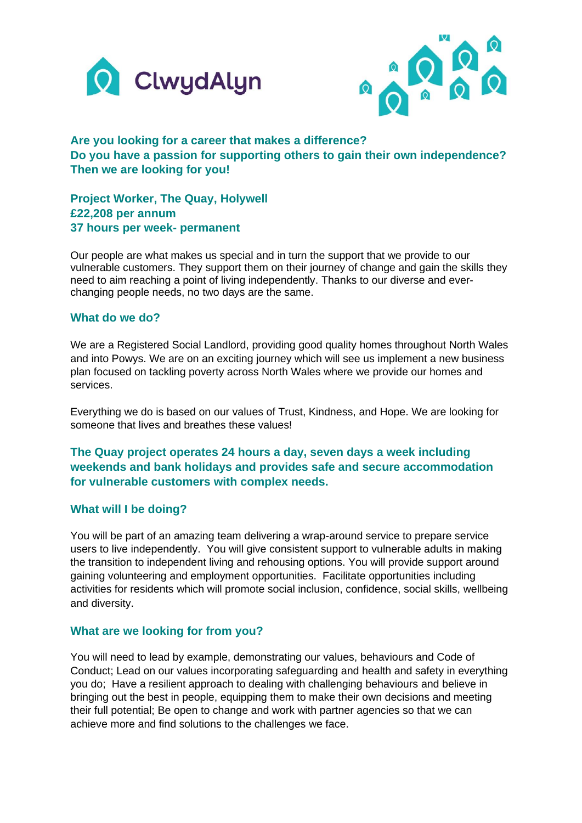



# **Are you looking for a career that makes a difference? Do you have a passion for supporting others to gain their own independence? Then we are looking for you!**

**Project Worker, The Quay, Holywell £22,208 per annum 37 hours per week- permanent**

Our people are what makes us special and in turn the support that we provide to our vulnerable customers. They support them on their journey of change and gain the skills they need to aim reaching a point of living independently. Thanks to our diverse and everchanging people needs, no two days are the same.

#### **What do we do?**

We are a Registered Social Landlord, providing good quality homes throughout North Wales and into Powys. We are on an exciting journey which will see us implement a new business plan focused on tackling poverty across North Wales where we provide our homes and services.

Everything we do is based on our values of Trust, Kindness, and Hope. We are looking for someone that lives and breathes these values!

**The Quay project operates 24 hours a day, seven days a week including weekends and bank holidays and provides safe and secure accommodation for vulnerable customers with complex needs.** 

#### **What will I be doing?**

You will be part of an amazing team delivering a wrap-around service to prepare service users to live independently. You will give consistent support to vulnerable adults in making the transition to independent living and rehousing options. You will provide support around gaining volunteering and employment opportunities. Facilitate opportunities including activities for residents which will promote social inclusion, confidence, social skills, wellbeing and diversity.

#### **What are we looking for from you?**

You will need to lead by example, demonstrating our values, behaviours and Code of Conduct; Lead on our values incorporating safeguarding and health and safety in everything you do; Have a resilient approach to dealing with challenging behaviours and believe in bringing out the best in people, equipping them to make their own decisions and meeting their full potential; Be open to change and work with partner agencies so that we can achieve more and find solutions to the challenges we face.